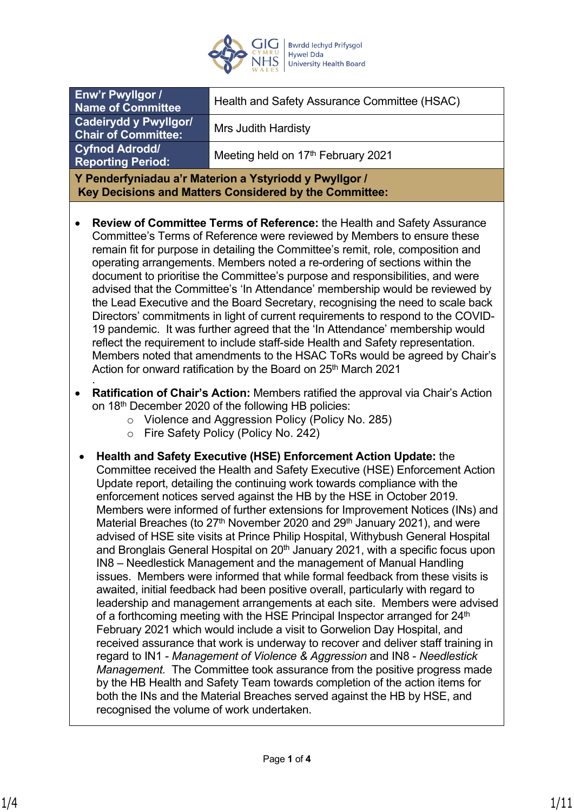

| <b>Cadeirydd y Pwyllgor/</b><br><b>Mrs Judith Hardisty</b><br><b>Chair of Committee:</b><br><b>Cyfnod Adrodd/</b><br>Meeting held on 17th February 2021<br><b>Reporting Period:</b><br>Y Penderfyniadau a'r Materion a Ystyriodd y Pwyllgor /<br>Key Decisions and Matters Considered by the Committee:<br>Review of Committee Terms of Reference: the Health and Safety Assurance<br>Committee's Terms of Reference were reviewed by Members to ensure these<br>remain fit for purpose in detailing the Committee's remit, role, composition and<br>operating arrangements. Members noted a re-ordering of sections within the<br>document to prioritise the Committee's purpose and responsibilities, and were<br>advised that the Committee's 'In Attendance' membership would be reviewed by<br>the Lead Executive and the Board Secretary, recognising the need to scale back<br>Directors' commitments in light of current requirements to respond to the COVID-<br>19 pandemic. It was further agreed that the 'In Attendance' membership would<br>reflect the requirement to include staff-side Health and Safety representation.<br>Members noted that amendments to the HSAC ToRs would be agreed by Chair's<br>Action for onward ratification by the Board on 25 <sup>th</sup> March 2021<br>Ratification of Chair's Action: Members ratified the approval via Chair's Action<br>on 18th December 2020 of the following HB policies:<br>Violence and Aggression Policy (Policy No. 285)<br>$\circ$<br>Fire Safety Policy (Policy No. 242)<br>$\circ$<br>Health and Safety Executive (HSE) Enforcement Action Update: the<br>Committee received the Health and Safety Executive (HSE) Enforcement Action<br>Update report, detailing the continuing work towards compliance with the<br>enforcement notices served against the HB by the HSE in October 2019.<br>Members were informed of further extensions for Improvement Notices (INs) and<br>Material Breaches (to 27 <sup>th</sup> November 2020 and 29 <sup>th</sup> January 2021), and were<br>advised of HSE site visits at Prince Philip Hospital, Withybush General Hospital<br>and Bronglais General Hospital on 20 <sup>th</sup> January 2021, with a specific focus upon<br>IN8 - Needlestick Management and the management of Manual Handling<br>issues. Members were informed that while formal feedback from these visits is<br>awaited, initial feedback had been positive overall, particularly with regard to<br>leadership and management arrangements at each site. Members were advised<br>of a forthcoming meeting with the HSE Principal Inspector arranged for 24 <sup>th</sup><br>February 2021 which would include a visit to Gorwelion Day Hospital, and<br>received assurance that work is underway to recover and deliver staff training in<br>regard to IN1 - Management of Violence & Aggression and IN8 - Needlestick<br>Management. The Committee took assurance from the positive progress made<br>by the HB Health and Safety Team towards completion of the action items for<br>both the INs and the Material Breaches served against the HB by HSE, and | Enw'r Pwyllgor /<br><b>Name of Committee</b> | Health and Safety Assurance Committee (HSAC) |  |  |  |
|----------------------------------------------------------------------------------------------------------------------------------------------------------------------------------------------------------------------------------------------------------------------------------------------------------------------------------------------------------------------------------------------------------------------------------------------------------------------------------------------------------------------------------------------------------------------------------------------------------------------------------------------------------------------------------------------------------------------------------------------------------------------------------------------------------------------------------------------------------------------------------------------------------------------------------------------------------------------------------------------------------------------------------------------------------------------------------------------------------------------------------------------------------------------------------------------------------------------------------------------------------------------------------------------------------------------------------------------------------------------------------------------------------------------------------------------------------------------------------------------------------------------------------------------------------------------------------------------------------------------------------------------------------------------------------------------------------------------------------------------------------------------------------------------------------------------------------------------------------------------------------------------------------------------------------------------------------------------------------------------------------------------------------------------------------------------------------------------------------------------------------------------------------------------------------------------------------------------------------------------------------------------------------------------------------------------------------------------------------------------------------------------------------------------------------------------------------------------------------------------------------------------------------------------------------------------------------------------------------------------------------------------------------------------------------------------------------------------------------------------------------------------------------------------------------------------------------------------------------------------------------------------------------------------------------------------------------------------------------------------------------------------------------------------------------------------------------------------------------------------------------------------------------|----------------------------------------------|----------------------------------------------|--|--|--|
|                                                                                                                                                                                                                                                                                                                                                                                                                                                                                                                                                                                                                                                                                                                                                                                                                                                                                                                                                                                                                                                                                                                                                                                                                                                                                                                                                                                                                                                                                                                                                                                                                                                                                                                                                                                                                                                                                                                                                                                                                                                                                                                                                                                                                                                                                                                                                                                                                                                                                                                                                                                                                                                                                                                                                                                                                                                                                                                                                                                                                                                                                                                                                          |                                              |                                              |  |  |  |
|                                                                                                                                                                                                                                                                                                                                                                                                                                                                                                                                                                                                                                                                                                                                                                                                                                                                                                                                                                                                                                                                                                                                                                                                                                                                                                                                                                                                                                                                                                                                                                                                                                                                                                                                                                                                                                                                                                                                                                                                                                                                                                                                                                                                                                                                                                                                                                                                                                                                                                                                                                                                                                                                                                                                                                                                                                                                                                                                                                                                                                                                                                                                                          |                                              |                                              |  |  |  |
|                                                                                                                                                                                                                                                                                                                                                                                                                                                                                                                                                                                                                                                                                                                                                                                                                                                                                                                                                                                                                                                                                                                                                                                                                                                                                                                                                                                                                                                                                                                                                                                                                                                                                                                                                                                                                                                                                                                                                                                                                                                                                                                                                                                                                                                                                                                                                                                                                                                                                                                                                                                                                                                                                                                                                                                                                                                                                                                                                                                                                                                                                                                                                          |                                              |                                              |  |  |  |
|                                                                                                                                                                                                                                                                                                                                                                                                                                                                                                                                                                                                                                                                                                                                                                                                                                                                                                                                                                                                                                                                                                                                                                                                                                                                                                                                                                                                                                                                                                                                                                                                                                                                                                                                                                                                                                                                                                                                                                                                                                                                                                                                                                                                                                                                                                                                                                                                                                                                                                                                                                                                                                                                                                                                                                                                                                                                                                                                                                                                                                                                                                                                                          |                                              |                                              |  |  |  |
| recognised the volume of work undertaken.                                                                                                                                                                                                                                                                                                                                                                                                                                                                                                                                                                                                                                                                                                                                                                                                                                                                                                                                                                                                                                                                                                                                                                                                                                                                                                                                                                                                                                                                                                                                                                                                                                                                                                                                                                                                                                                                                                                                                                                                                                                                                                                                                                                                                                                                                                                                                                                                                                                                                                                                                                                                                                                                                                                                                                                                                                                                                                                                                                                                                                                                                                                |                                              |                                              |  |  |  |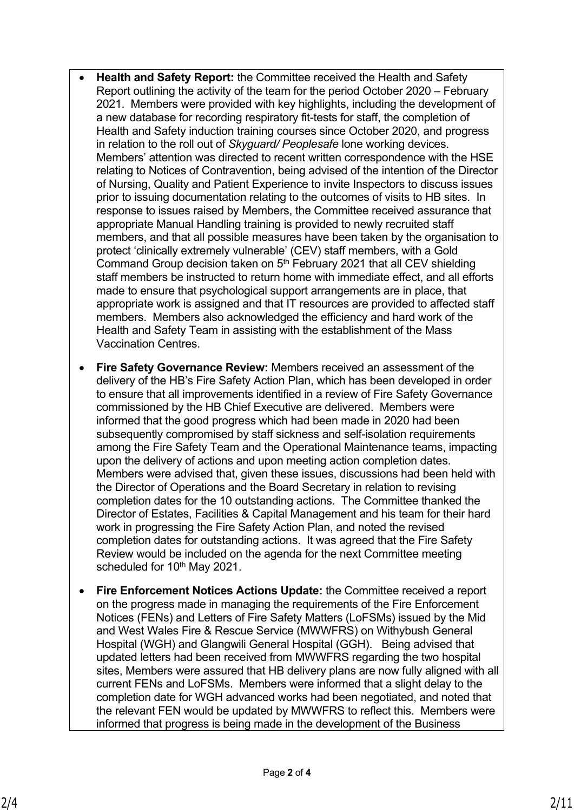- **Health and Safety Report:** the Committee received the Health and Safety Report outlining the activity of the team for the period October 2020 – February 2021. Members were provided with key highlights, including the development of a new database for recording respiratory fit-tests for staff, the completion of Health and Safety induction training courses since October 2020, and progress in relation to the roll out of *Skyguard/ Peoplesafe* lone working devices. Members' attention was directed to recent written correspondence with the HSE relating to Notices of Contravention, being advised of the intention of the Director of Nursing, Quality and Patient Experience to invite Inspectors to discuss issues prior to issuing documentation relating to the outcomes of visits to HB sites. In response to issues raised by Members, the Committee received assurance that appropriate Manual Handling training is provided to newly recruited staff members, and that all possible measures have been taken by the organisation to protect 'clinically extremely vulnerable' (CEV) staff members, with a Gold Command Group decision taken on 5<sup>th</sup> February 2021 that all CEV shielding staff members be instructed to return home with immediate effect, and all efforts made to ensure that psychological support arrangements are in place, that appropriate work is assigned and that IT resources are provided to affected staff members. Members also acknowledged the efficiency and hard work of the Health and Safety Team in assisting with the establishment of the Mass Vaccination Centres.
- **Fire Safety Governance Review:** Members received an assessment of the delivery of the HB's Fire Safety Action Plan, which has been developed in order to ensure that all improvements identified in a review of Fire Safety Governance commissioned by the HB Chief Executive are delivered. Members were informed that the good progress which had been made in 2020 had been subsequently compromised by staff sickness and self-isolation requirements among the Fire Safety Team and the Operational Maintenance teams, impacting upon the delivery of actions and upon meeting action completion dates. Members were advised that, given these issues, discussions had been held with the Director of Operations and the Board Secretary in relation to revising completion dates for the 10 outstanding actions. The Committee thanked the Director of Estates, Facilities & Capital Management and his team for their hard work in progressing the Fire Safety Action Plan, and noted the revised completion dates for outstanding actions. It was agreed that the Fire Safety Review would be included on the agenda for the next Committee meeting scheduled for 10<sup>th</sup> May 2021.
- **Fire Enforcement Notices Actions Update:** the Committee received a report on the progress made in managing the requirements of the Fire Enforcement Notices (FENs) and Letters of Fire Safety Matters (LoFSMs) issued by the Mid and West Wales Fire & Rescue Service (MWWFRS) on Withybush General Hospital (WGH) and Glangwili General Hospital (GGH). Being advised that updated letters had been received from MWWFRS regarding the two hospital sites, Members were assured that HB delivery plans are now fully aligned with all current FENs and LoFSMs. Members were informed that a slight delay to the completion date for WGH advanced works had been negotiated, and noted that the relevant FEN would be updated by MWWFRS to reflect this. Members were informed that progress is being made in the development of the Business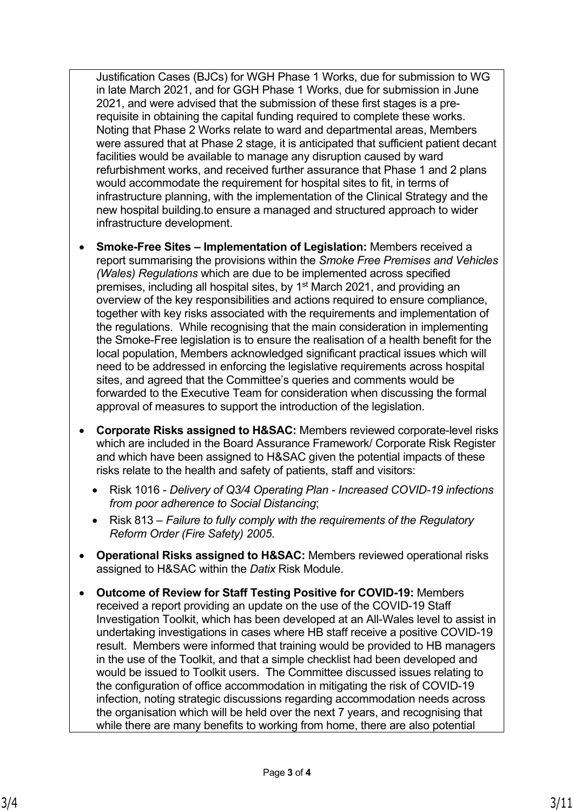Justification Cases (BJCs) for WGH Phase 1 Works, due for submission to WG in late March 2021, and for GGH Phase 1 Works, due for submission in June 2021, and were advised that the submission of these first stages is a prerequisite in obtaining the capital funding required to complete these works. Noting that Phase 2 Works relate to ward and departmental areas, Members were assured that at Phase 2 stage, it is anticipated that sufficient patient decant facilities would be available to manage any disruption caused by ward refurbishment works, and received further assurance that Phase 1 and 2 plans would accommodate the requirement for hospital sites to fit, in terms of infrastructure planning, with the implementation of the Clinical Strategy and the new hospital building.to ensure a managed and structured approach to wider infrastructure development.

- **Smoke-Free Sites Implementation of Legislation:** Members received a report summarising the provisions within the *Smoke Free Premises and Vehicles (Wales) Regulations* which are due to be implemented across specified premises, including all hospital sites, by 1st March 2021, and providing an overview of the key responsibilities and actions required to ensure compliance, together with key risks associated with the requirements and implementation of the regulations. While recognising that the main consideration in implementing the Smoke-Free legislation is to ensure the realisation of a health benefit for the local population, Members acknowledged significant practical issues which will need to be addressed in enforcing the legislative requirements across hospital sites, and agreed that the Committee's queries and comments would be forwarded to the Executive Team for consideration when discussing the formal approval of measures to support the introduction of the legislation.
- **Corporate Risks assigned to H&SAC:** Members reviewed corporate-level risks which are included in the Board Assurance Framework/ Corporate Risk Register and which have been assigned to H&SAC given the potential impacts of these risks relate to the health and safety of patients, staff and visitors:
	- Risk 1016 *Delivery of Q3/4 Operating Plan Increased COVID-19 infections from poor adherence to Social Distancing*;
	- Risk 813 *Failure to fully comply with the requirements of the Regulatory Reform Order (Fire Safety) 2005*.
- **Operational Risks assigned to H&SAC:** Members reviewed operational risks assigned to H&SAC within the *Datix* Risk Module.
- **Outcome of Review for Staff Testing Positive for COVID-19:** Members received a report providing an update on the use of the COVID-19 Staff Investigation Toolkit, which has been developed at an All-Wales level to assist in undertaking investigations in cases where HB staff receive a positive COVID-19 result. Members were informed that training would be provided to HB managers in the use of the Toolkit, and that a simple checklist had been developed and would be issued to Toolkit users. The Committee discussed issues relating to the configuration of office accommodation in mitigating the risk of COVID-19 infection, noting strategic discussions regarding accommodation needs across the organisation which will be held over the next 7 years, and recognising that while there are many benefits to working from home, there are also potential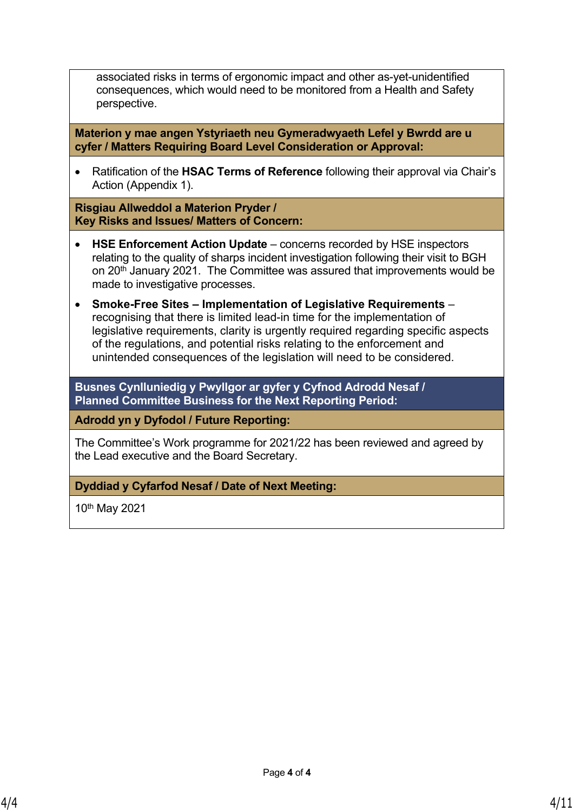associated risks in terms of ergonomic impact and other as-yet-unidentified consequences, which would need to be monitored from a Health and Safety perspective.

**Materion y mae angen Ystyriaeth neu Gymeradwyaeth Lefel y Bwrdd are u cyfer / Matters Requiring Board Level Consideration or Approval:**

 Ratification of the **HSAC Terms of Reference** following their approval via Chair's Action (Appendix 1).

**Risgiau Allweddol a Materion Pryder / Key Risks and Issues/ Matters of Concern:**

- HSE Enforcement Action Update concerns recorded by HSE inspectors relating to the quality of sharps incident investigation following their visit to BGH on 20<sup>th</sup> January 2021. The Committee was assured that improvements would be made to investigative processes.
- **Smoke-Free Sites Implementation of Legislative Requirements** recognising that there is limited lead-in time for the implementation of legislative requirements, clarity is urgently required regarding specific aspects of the regulations, and potential risks relating to the enforcement and unintended consequences of the legislation will need to be considered.

**Busnes Cynlluniedig y Pwyllgor ar gyfer y Cyfnod Adrodd Nesaf / Planned Committee Business for the Next Reporting Period:**

**Adrodd yn y Dyfodol / Future Reporting:**

The Committee's Work programme for 2021/22 has been reviewed and agreed by the Lead executive and the Board Secretary.

**Dyddiad y Cyfarfod Nesaf / Date of Next Meeting:**

10th May 2021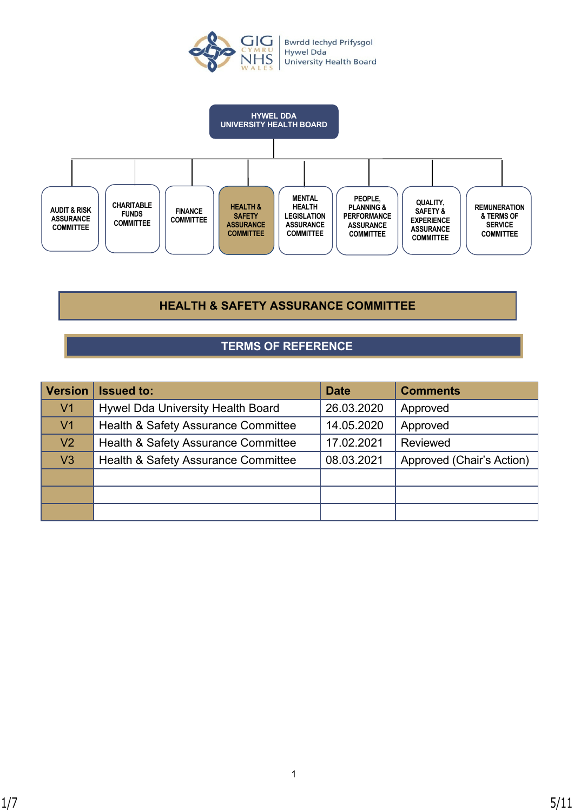



## **HEALTH & SAFETY ASSURANCE COMMITTEE**

# **TERMS OF REFERENCE**

| <b>Version</b> | <b>Issued to:</b>                   | <b>Date</b> | <b>Comments</b>           |
|----------------|-------------------------------------|-------------|---------------------------|
| V <sub>1</sub> | Hywel Dda University Health Board   | 26.03.2020  | Approved                  |
| V1             | Health & Safety Assurance Committee | 14.05.2020  | Approved                  |
| V <sub>2</sub> | Health & Safety Assurance Committee | 17.02.2021  | <b>Reviewed</b>           |
| V <sub>3</sub> | Health & Safety Assurance Committee | 08.03.2021  | Approved (Chair's Action) |
|                |                                     |             |                           |
|                |                                     |             |                           |
|                |                                     |             |                           |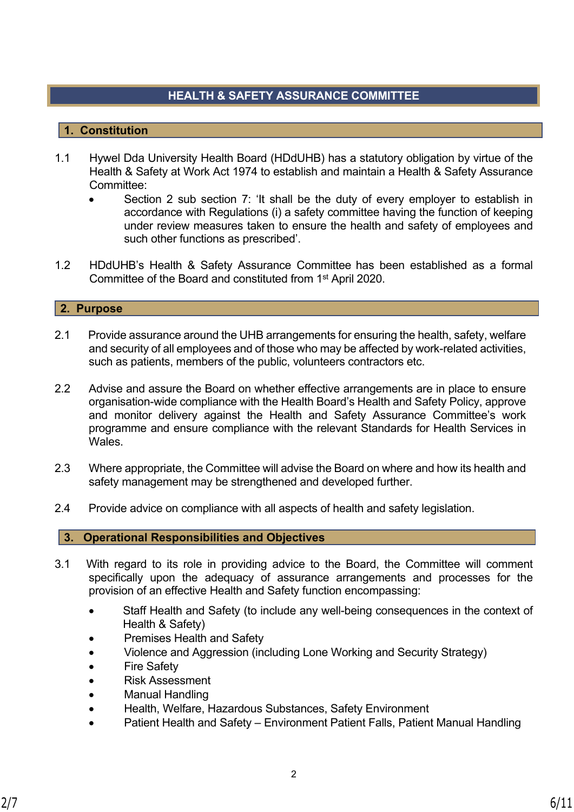# **HEALTH & SAFETY ASSURANCE COMMITTEE**

## **1. Constitution**

- 1.1 Hywel Dda University Health Board (HDdUHB) has a statutory obligation by virtue of the Health & Safety at Work Act 1974 to establish and maintain a Health & Safety Assurance Committee:
	- Section 2 sub section 7: 'It shall be the duty of every employer to establish in accordance with Regulations (i) a safety committee having the function of keeping under review measures taken to ensure the health and safety of employees and such other functions as prescribed'.
- 1.2 HDdUHB's Health & Safety Assurance Committee has been established as a formal Committee of the Board and constituted from 1st April 2020.

### **2. Purpose**

- 2.1 Provide assurance around the UHB arrangements for ensuring the health, safety, welfare and security of all employees and of those who may be affected by work-related activities, such as patients, members of the public, volunteers contractors etc.
- 2.2 Advise and assure the Board on whether effective arrangements are in place to ensure organisation-wide compliance with the Health Board's Health and Safety Policy, approve and monitor delivery against the Health and Safety Assurance Committee's work programme and ensure compliance with the relevant Standards for Health Services in **Wales**
- 2.3 Where appropriate, the Committee will advise the Board on where and how its health and safety management may be strengthened and developed further.
- 2.4 Provide advice on compliance with all aspects of health and safety legislation.

## **3. Operational Responsibilities and Objectives**

- 3.1 With regard to its role in providing advice to the Board, the Committee will comment specifically upon the adequacy of assurance arrangements and processes for the provision of an effective Health and Safety function encompassing:
	- Staff Health and Safety (to include any well-being consequences in the context of Health & Safety)
	- Premises Health and Safety
	- Violence and Aggression (including Lone Working and Security Strategy)
	- Fire Safety
	- Risk Assessment
	- Manual Handling
	- Health, Welfare, Hazardous Substances, Safety Environment
	- Patient Health and Safety Environment Patient Falls, Patient Manual Handling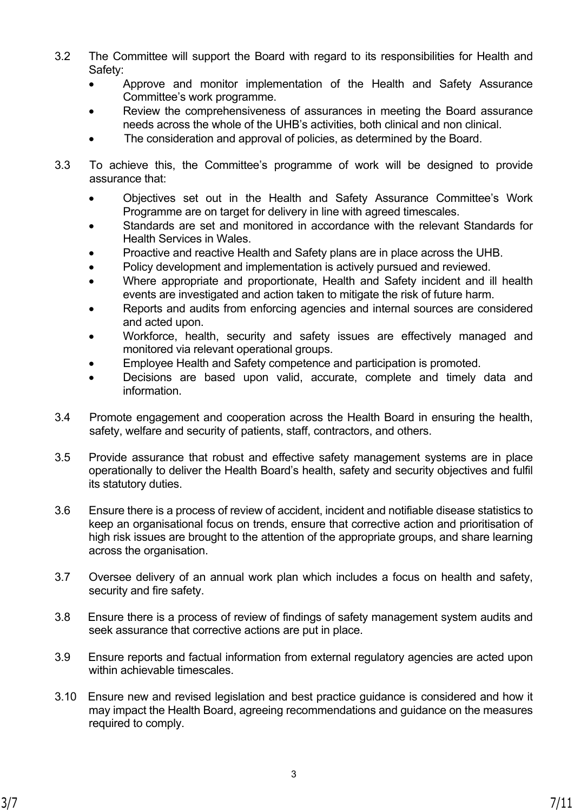- 3.2 The Committee will support the Board with regard to its responsibilities for Health and Safety:
	- Approve and monitor implementation of the Health and Safety Assurance Committee's work programme.
	- Review the comprehensiveness of assurances in meeting the Board assurance needs across the whole of the UHB's activities, both clinical and non clinical.
	- The consideration and approval of policies, as determined by the Board.
- 3.3 To achieve this, the Committee's programme of work will be designed to provide assurance that:
	- Objectives set out in the Health and Safety Assurance Committee's Work Programme are on target for delivery in line with agreed timescales.
	- Standards are set and monitored in accordance with the relevant Standards for Health Services in Wales.
	- Proactive and reactive Health and Safety plans are in place across the UHB.
	- Policy development and implementation is actively pursued and reviewed.
	- Where appropriate and proportionate, Health and Safety incident and ill health events are investigated and action taken to mitigate the risk of future harm.
	- Reports and audits from enforcing agencies and internal sources are considered and acted upon.
	- Workforce, health, security and safety issues are effectively managed and monitored via relevant operational groups.
	- Employee Health and Safety competence and participation is promoted.
	- Decisions are based upon valid, accurate, complete and timely data and information.
- 3.4 Promote engagement and cooperation across the Health Board in ensuring the health, safety, welfare and security of patients, staff, contractors, and others.
- 3.5 Provide assurance that robust and effective safety management systems are in place operationally to deliver the Health Board's health, safety and security objectives and fulfil its statutory duties.
- 3.6 Ensure there is a process of review of accident, incident and notifiable disease statistics to keep an organisational focus on trends, ensure that corrective action and prioritisation of high risk issues are brought to the attention of the appropriate groups, and share learning across the organisation.
- 3.7 Oversee delivery of an annual work plan which includes a focus on health and safety, security and fire safety.
- 3.8 Ensure there is a process of review of findings of safety management system audits and seek assurance that corrective actions are put in place.
- 3.9 Ensure reports and factual information from external regulatory agencies are acted upon within achievable timescales.
- 3.10 Ensure new and revised legislation and best practice guidance is considered and how it may impact the Health Board, agreeing recommendations and guidance on the measures required to comply.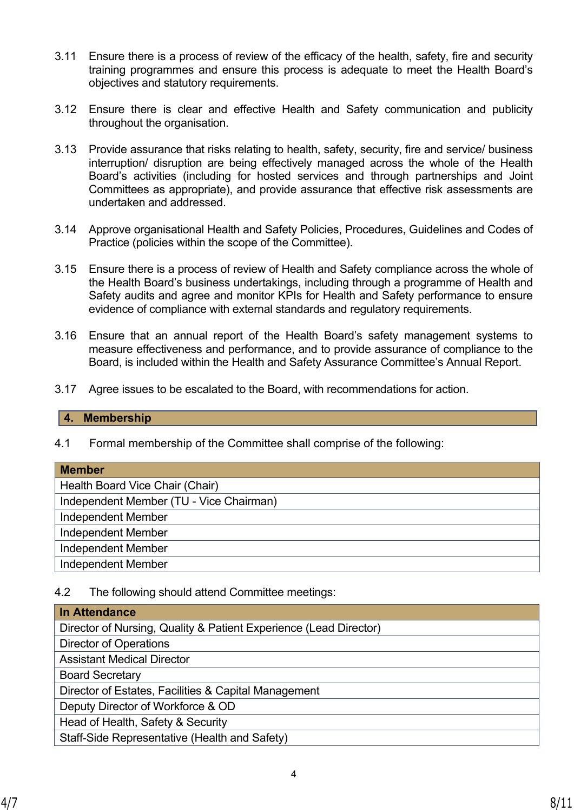- 3.11 Ensure there is a process of review of the efficacy of the health, safety, fire and security training programmes and ensure this process is adequate to meet the Health Board's objectives and statutory requirements.
- 3.12 Ensure there is clear and effective Health and Safety communication and publicity throughout the organisation.
- 3.13 Provide assurance that risks relating to health, safety, security, fire and service/ business interruption/ disruption are being effectively managed across the whole of the Health Board's activities (including for hosted services and through partnerships and Joint Committees as appropriate), and provide assurance that effective risk assessments are undertaken and addressed.
- 3.14 Approve organisational Health and Safety Policies, Procedures, Guidelines and Codes of Practice (policies within the scope of the Committee).
- 3.15 Ensure there is a process of review of Health and Safety compliance across the whole of the Health Board's business undertakings, including through a programme of Health and Safety audits and agree and monitor KPIs for Health and Safety performance to ensure evidence of compliance with external standards and regulatory requirements.
- 3.16 Ensure that an annual report of the Health Board's safety management systems to measure effectiveness and performance, and to provide assurance of compliance to the Board, is included within the Health and Safety Assurance Committee's Annual Report.
- 3.17 Agree issues to be escalated to the Board, with recommendations for action.

### **4. Membership**

4.1 Formal membership of the Committee shall comprise of the following:

| <b>Member</b>                           |  |  |
|-----------------------------------------|--|--|
| Health Board Vice Chair (Chair)         |  |  |
| Independent Member (TU - Vice Chairman) |  |  |
| <b>Independent Member</b>               |  |  |
| <b>Independent Member</b>               |  |  |
| <b>Independent Member</b>               |  |  |
| <b>Independent Member</b>               |  |  |

4.2 The following should attend Committee meetings:

| <b>In Attendance</b>                                              |  |  |
|-------------------------------------------------------------------|--|--|
| Director of Nursing, Quality & Patient Experience (Lead Director) |  |  |
| <b>Director of Operations</b>                                     |  |  |
| <b>Assistant Medical Director</b>                                 |  |  |
| <b>Board Secretary</b>                                            |  |  |
| Director of Estates, Facilities & Capital Management              |  |  |
| Deputy Director of Workforce & OD                                 |  |  |
| Head of Health, Safety & Security                                 |  |  |
| Staff-Side Representative (Health and Safety)                     |  |  |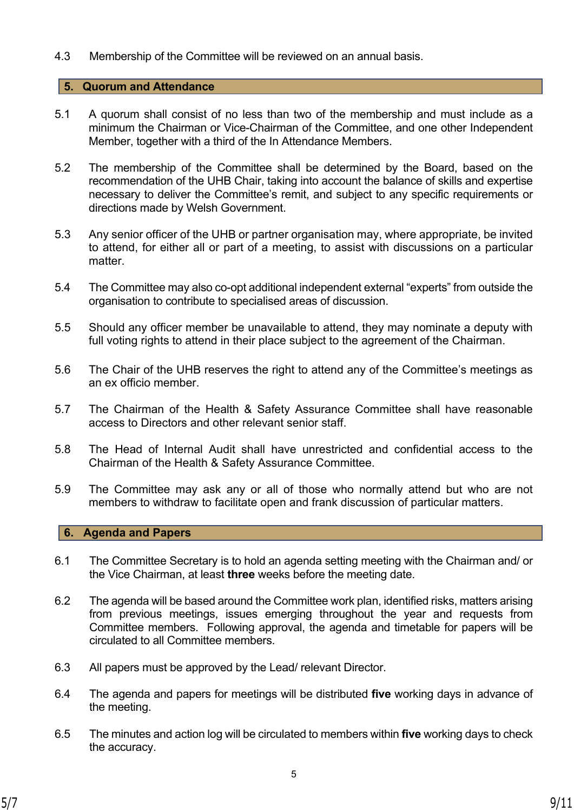4.3 Membership of the Committee will be reviewed on an annual basis.

## **5. Quorum and Attendance**

- 5.1 A quorum shall consist of no less than two of the membership and must include as a minimum the Chairman or Vice-Chairman of the Committee, and one other Independent Member, together with a third of the In Attendance Members.
- 5.2 The membership of the Committee shall be determined by the Board, based on the recommendation of the UHB Chair, taking into account the balance of skills and expertise necessary to deliver the Committee's remit, and subject to any specific requirements or directions made by Welsh Government.
- 5.3 Any senior officer of the UHB or partner organisation may, where appropriate, be invited to attend, for either all or part of a meeting, to assist with discussions on a particular matter.
- 5.4 The Committee may also co-opt additional independent external "experts" from outside the organisation to contribute to specialised areas of discussion.
- 5.5 Should any officer member be unavailable to attend, they may nominate a deputy with full voting rights to attend in their place subject to the agreement of the Chairman.
- 5.6 The Chair of the UHB reserves the right to attend any of the Committee's meetings as an ex officio member.
- 5.7 The Chairman of the Health & Safety Assurance Committee shall have reasonable access to Directors and other relevant senior staff.
- 5.8 The Head of Internal Audit shall have unrestricted and confidential access to the Chairman of the Health & Safety Assurance Committee.
- 5.9 The Committee may ask any or all of those who normally attend but who are not members to withdraw to facilitate open and frank discussion of particular matters.

## **6. Agenda and Papers**

- 6.1 The Committee Secretary is to hold an agenda setting meeting with the Chairman and/ or the Vice Chairman, at least **three** weeks before the meeting date.
- 6.2 The agenda will be based around the Committee work plan, identified risks, matters arising from previous meetings, issues emerging throughout the year and requests from Committee members. Following approval, the agenda and timetable for papers will be circulated to all Committee members.
- 6.3 All papers must be approved by the Lead/ relevant Director.
- 6.4 The agenda and papers for meetings will be distributed **five** working days in advance of the meeting.
- 6.5 The minutes and action log will be circulated to members within **five** working days to check the accuracy.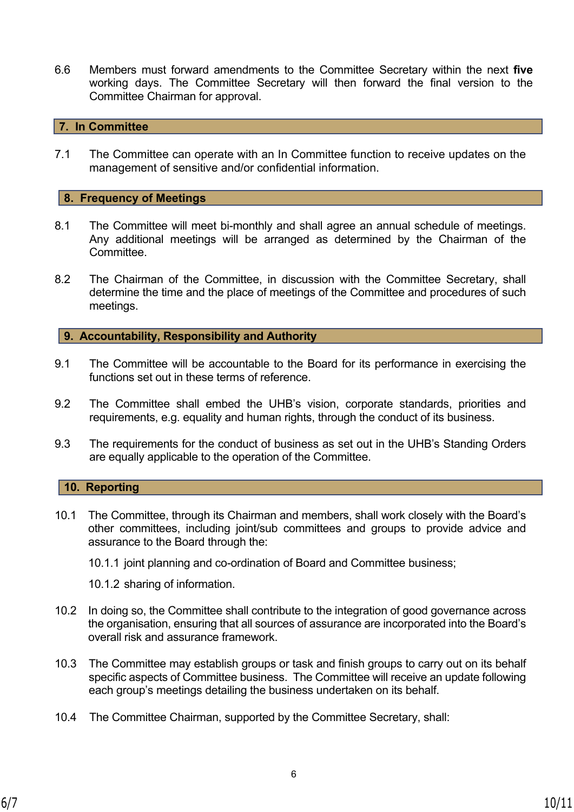6.6 Members must forward amendments to the Committee Secretary within the next **five** working days. The Committee Secretary will then forward the final version to the Committee Chairman for approval.

#### **7. In Committee**

7.1 The Committee can operate with an In Committee function to receive updates on the management of sensitive and/or confidential information.

#### **8. Frequency of Meetings**

- 8.1 The Committee will meet bi-monthly and shall agree an annual schedule of meetings. Any additional meetings will be arranged as determined by the Chairman of the **Committee**
- 8.2 The Chairman of the Committee, in discussion with the Committee Secretary, shall determine the time and the place of meetings of the Committee and procedures of such meetings.

#### **9. Accountability, Responsibility and Authority**

- 9.1 The Committee will be accountable to the Board for its performance in exercising the functions set out in these terms of reference.
- 9.2 The Committee shall embed the UHB's vision, corporate standards, priorities and requirements, e.g. equality and human rights, through the conduct of its business.
- 9.3 The requirements for the conduct of business as set out in the UHB's Standing Orders are equally applicable to the operation of the Committee.

#### **10. Reporting**

- 10.1 The Committee, through its Chairman and members, shall work closely with the Board's other committees, including joint/sub committees and groups to provide advice and assurance to the Board through the:
	- 10.1.1 joint planning and co-ordination of Board and Committee business;

10.1.2 sharing of information.

- 10.2 In doing so, the Committee shall contribute to the integration of good governance across the organisation, ensuring that all sources of assurance are incorporated into the Board's overall risk and assurance framework.
- 10.3 The Committee may establish groups or task and finish groups to carry out on its behalf specific aspects of Committee business. The Committee will receive an update following each group's meetings detailing the business undertaken on its behalf.
- 10.4 The Committee Chairman, supported by the Committee Secretary, shall: